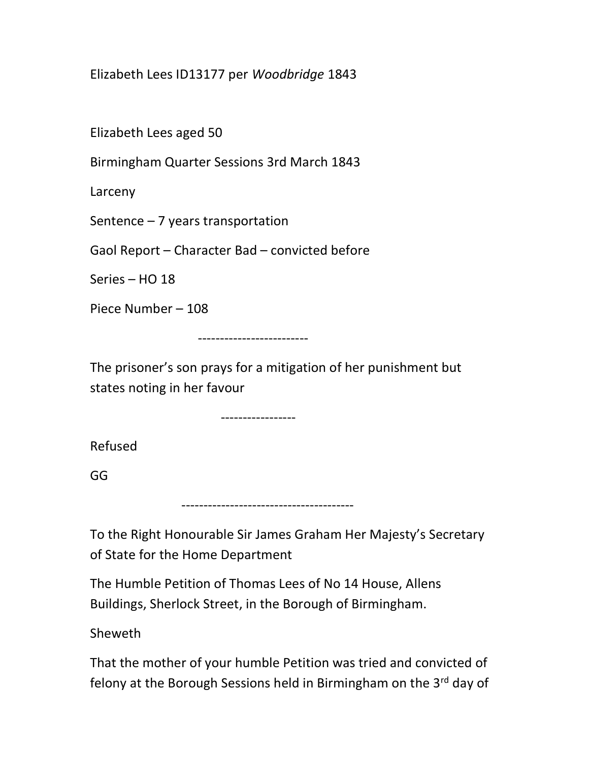Elizabeth Lees ID13177 per Woodbridge 1843

Elizabeth Lees aged 50

Birmingham Quarter Sessions 3rd March 1843

Larceny

Sentence – 7 years transportation

Gaol Report – Character Bad – convicted before

Series – HO 18

Piece Number – 108

-------------------------

The prisoner's son prays for a mitigation of her punishment but states noting in her favour

-----------------

Refused

GG

---------------------------------------

To the Right Honourable Sir James Graham Her Majesty's Secretary of State for the Home Department

The Humble Petition of Thomas Lees of No 14 House, Allens Buildings, Sherlock Street, in the Borough of Birmingham.

Sheweth

That the mother of your humble Petition was tried and convicted of felony at the Borough Sessions held in Birmingham on the 3rd day of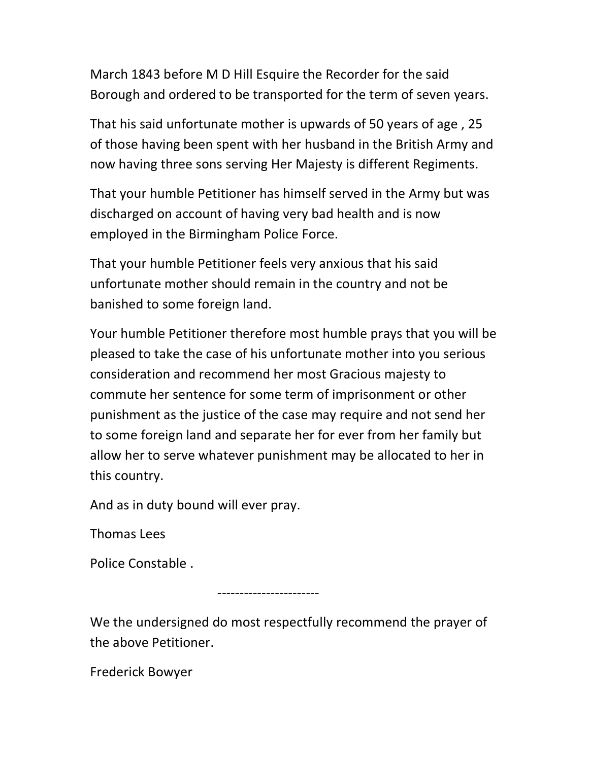March 1843 before M D Hill Esquire the Recorder for the said Borough and ordered to be transported for the term of seven years.

That his said unfortunate mother is upwards of 50 years of age , 25 of those having been spent with her husband in the British Army and now having three sons serving Her Majesty is different Regiments.

That your humble Petitioner has himself served in the Army but was discharged on account of having very bad health and is now employed in the Birmingham Police Force.

That your humble Petitioner feels very anxious that his said unfortunate mother should remain in the country and not be banished to some foreign land.

Your humble Petitioner therefore most humble prays that you will be pleased to take the case of his unfortunate mother into you serious consideration and recommend her most Gracious majesty to commute her sentence for some term of imprisonment or other punishment as the justice of the case may require and not send her to some foreign land and separate her for ever from her family but allow her to serve whatever punishment may be allocated to her in this country.

And as in duty bound will ever pray.

Thomas Lees

Police Constable .

-----------------------

We the undersigned do most respectfully recommend the prayer of the above Petitioner.

Frederick Bowyer